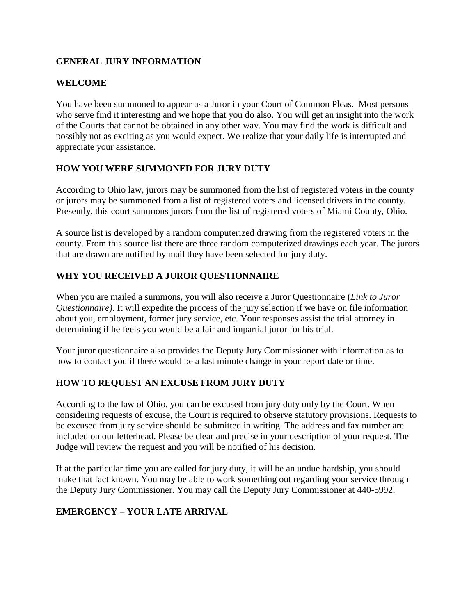### **GENERAL JURY INFORMATION**

### **WELCOME**

You have been summoned to appear as a Juror in your Court of Common Pleas. Most persons who serve find it interesting and we hope that you do also. You will get an insight into the work of the Courts that cannot be obtained in any other way. You may find the work is difficult and possibly not as exciting as you would expect. We realize that your daily life is interrupted and appreciate your assistance.

### **HOW YOU WERE SUMMONED FOR JURY DUTY**

According to Ohio law, jurors may be summoned from the list of registered voters in the county or jurors may be summoned from a list of registered voters and licensed drivers in the county. Presently, this court summons jurors from the list of registered voters of Miami County, Ohio.

A source list is developed by a random computerized drawing from the registered voters in the county. From this source list there are three random computerized drawings each year. The jurors that are drawn are notified by mail they have been selected for jury duty.

## **WHY YOU RECEIVED A JUROR QUESTIONNAIRE**

When you are mailed a summons, you will also receive a Juror Questionnaire (*Link to Juror Questionnaire)*. It will expedite the process of the jury selection if we have on file information about you, employment, former jury service, etc. Your responses assist the trial attorney in determining if he feels you would be a fair and impartial juror for his trial.

Your juror questionnaire also provides the Deputy Jury Commissioner with information as to how to contact you if there would be a last minute change in your report date or time.

### **HOW TO REQUEST AN EXCUSE FROM JURY DUTY**

According to the law of Ohio, you can be excused from jury duty only by the Court. When considering requests of excuse, the Court is required to observe statutory provisions. Requests to be excused from jury service should be submitted in writing. The address and fax number are included on our letterhead. Please be clear and precise in your description of your request. The Judge will review the request and you will be notified of his decision.

If at the particular time you are called for jury duty, it will be an undue hardship, you should make that fact known. You may be able to work something out regarding your service through the Deputy Jury Commissioner. You may call the Deputy Jury Commissioner at 440-5992.

### **EMERGENCY – YOUR LATE ARRIVAL**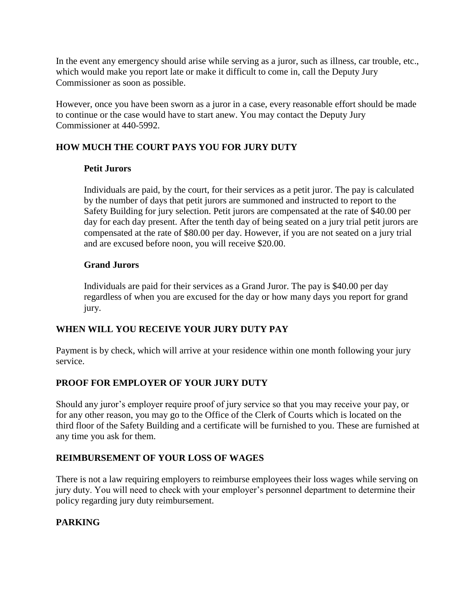In the event any emergency should arise while serving as a juror, such as illness, car trouble, etc., which would make you report late or make it difficult to come in, call the Deputy Jury Commissioner as soon as possible.

However, once you have been sworn as a juror in a case, every reasonable effort should be made to continue or the case would have to start anew. You may contact the Deputy Jury Commissioner at 440-5992.

# **HOW MUCH THE COURT PAYS YOU FOR JURY DUTY**

### **Petit Jurors**

Individuals are paid, by the court, for their services as a petit juror. The pay is calculated by the number of days that petit jurors are summoned and instructed to report to the Safety Building for jury selection. Petit jurors are compensated at the rate of \$40.00 per day for each day present. After the tenth day of being seated on a jury trial petit jurors are compensated at the rate of \$80.00 per day. However, if you are not seated on a jury trial and are excused before noon, you will receive \$20.00.

## **Grand Jurors**

Individuals are paid for their services as a Grand Juror. The pay is \$40.00 per day regardless of when you are excused for the day or how many days you report for grand jury.

## **WHEN WILL YOU RECEIVE YOUR JURY DUTY PAY**

Payment is by check, which will arrive at your residence within one month following your jury service.

## **PROOF FOR EMPLOYER OF YOUR JURY DUTY**

Should any juror's employer require proof of jury service so that you may receive your pay, or for any other reason, you may go to the Office of the Clerk of Courts which is located on the third floor of the Safety Building and a certificate will be furnished to you. These are furnished at any time you ask for them.

### **REIMBURSEMENT OF YOUR LOSS OF WAGES**

There is not a law requiring employers to reimburse employees their loss wages while serving on jury duty. You will need to check with your employer's personnel department to determine their policy regarding jury duty reimbursement.

## **PARKING**